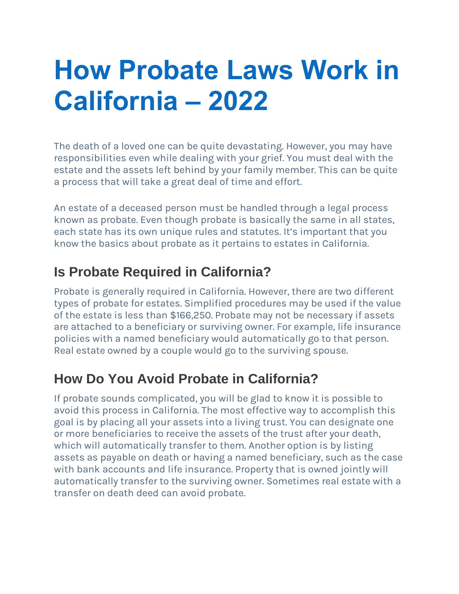# **How Probate Laws Work in California – 2022**

The death of a loved one can be quite devastating. However, you may have responsibilities even while dealing with your grief. You must deal with the estate and the assets left behind by your family member. This can be quite a process that will take a great deal of time and effort.

An estate of a deceased person must be handled through a legal process known as probate. Even though probate is basically the same in all states, each state has its own unique rules and statutes. It's important that you know the basics about probate as it pertains to estates in California.

# **Is Probate Required in California?**

Probate is generally required in California. However, there are two different types of probate for estates. Simplified procedures may be used if the value of the estate is less than \$166,250. Probate may not be necessary if assets are attached to a beneficiary or surviving owner. For example, life insurance policies with a named beneficiary would automatically go to that person. Real estate owned by a couple would go to the surviving spouse.

## **How Do You Avoid Probate in California?**

If probate sounds complicated, you will be glad to know it is possible to avoid this process in California. The most effective way to accomplish this goal is by placing all your assets into a living trust. You can designate one or more beneficiaries to receive the assets of the trust after your death, which will automatically transfer to them. Another option is by listing assets as payable on death or having a named beneficiary, such as the case with bank accounts and life insurance. Property that is owned jointly will automatically transfer to the surviving owner. Sometimes real estate with a transfer on death deed can avoid probate.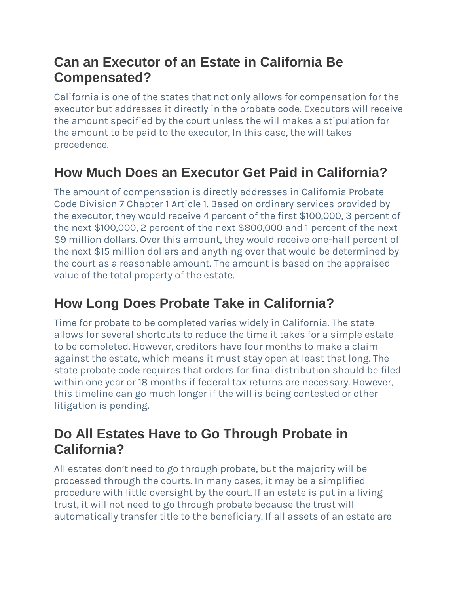## **Can an Executor of an Estate in California Be Compensated?**

California is one of the states that not only allows for compensation for the executor but addresses it directly in the probate code. Executors will receive the amount specified by the court unless the will makes a stipulation for the amount to be paid to the executor, In this case, the will takes precedence.

# **How Much Does an Executor Get Paid in California?**

The amount of compensation is directly addresses in California Probate Code Division 7 Chapter 1 Article 1. Based on ordinary services provided by the executor, they would receive 4 percent of the first \$100,000, 3 percent of the next \$100,000, 2 percent of the next \$800,000 and 1 percent of the next \$9 million dollars. Over this amount, they would receive one-half percent of the next \$15 million dollars and anything over that would be determined by the court as a reasonable amount. The amount is based on the appraised value of the total property of the estate.

# **How Long Does Probate Take in California?**

Time for probate to be completed varies widely in California. The state allows for several shortcuts to reduce the time it takes for a simple estate to be completed. However, creditors have four months to make a claim against the estate, which means it must stay open at least that long. The state probate code requires that orders for final distribution should be filed within one year or 18 months if federal tax returns are necessary. However, this timeline can go much longer if the will is being contested or other litigation is pending.

### **Do All Estates Have to Go Through Probate in California?**

All estates don't need to go through probate, but the majority will be processed through the courts. In many cases, it may be a simplified procedure with little oversight by the court. If an estate is put in a living trust, it will not need to go through probate because the trust will automatically transfer title to the beneficiary. If all assets of an estate are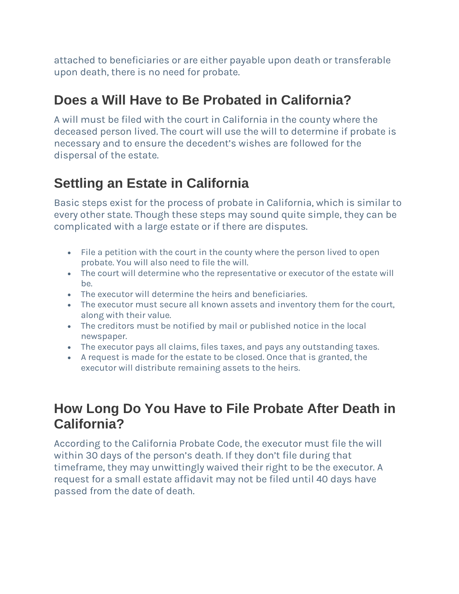attached to beneficiaries or are either payable upon death or transferable upon death, there is no need for probate.

### **Does a Will Have to Be Probated in California?**

A will must be filed with the court in California in the county where the deceased person lived. The court will use the will to determine if probate is necessary and to ensure the decedent's wishes are followed for the dispersal of the estate.

## **Settling an Estate in California**

Basic steps exist for the process of probate in California, which is similar to every other state. Though these steps may sound quite simple, they can be complicated with a large estate or if there are disputes.

- File a petition with the court in the county where the person lived to open probate. You will also need to file the will.
- The court will determine who the representative or executor of the estate will be.
- The executor will determine the heirs and beneficiaries.
- The executor must secure all known assets and inventory them for the court, along with their value.
- The creditors must be notified by mail or published notice in the local newspaper.
- The executor pays all claims, files taxes, and pays any outstanding taxes.
- A request is made for the estate to be closed. Once that is granted, the executor will distribute remaining assets to the heirs.

#### **How Long Do You Have to File Probate After Death in California?**

According to the California Probate Code, the executor must file the will within 30 days of the person's death. If they don't file during that timeframe, they may unwittingly waived their right to be the executor. A request for a small estate affidavit may not be filed until 40 days have passed from the date of death.